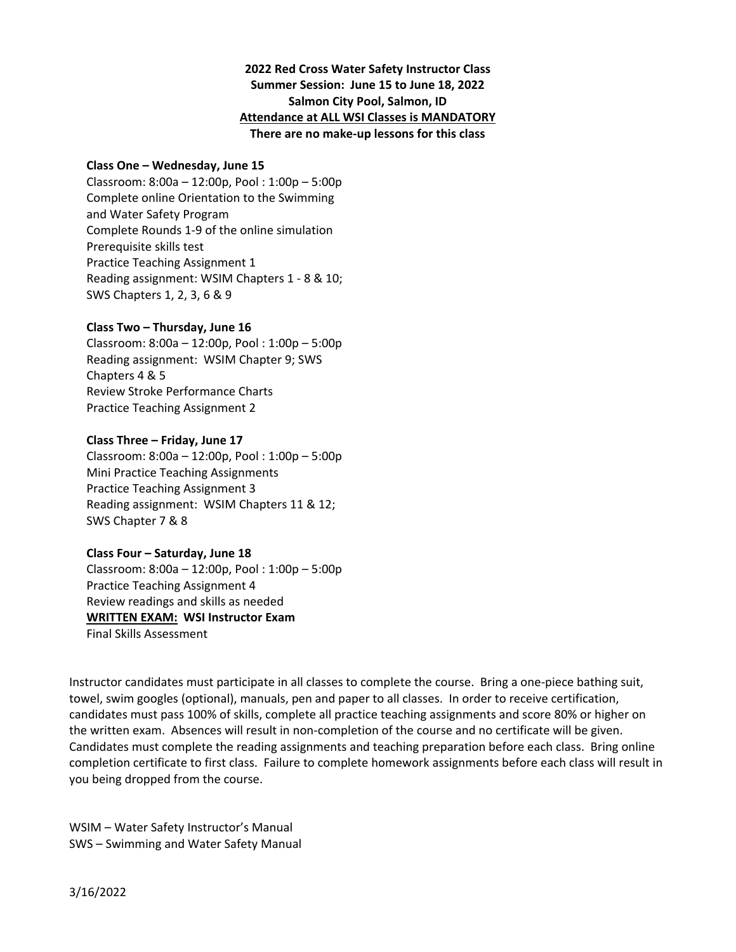## **2022 Red Cross Water Safety Instructor Class Summer Session: June 15 to June 18, 2022 Salmon City Pool, Salmon, ID Attendance at ALL WSI Classes is MANDATORY There are no make‐up lessons for this class**

#### **Class One – Wednesday, June 15**

Classroom: 8:00a – 12:00p, Pool : 1:00p – 5:00p Complete online Orientation to the Swimming and Water Safety Program Complete Rounds 1‐9 of the online simulation Prerequisite skills test Practice Teaching Assignment 1 Reading assignment: WSIM Chapters 1 ‐ 8 & 10; SWS Chapters 1, 2, 3, 6 & 9

### **Class Two – Thursday, June 16**

Classroom: 8:00a – 12:00p, Pool : 1:00p – 5:00p Reading assignment: WSIM Chapter 9; SWS Chapters 4 & 5 Review Stroke Performance Charts Practice Teaching Assignment 2

#### **Class Three – Friday, June 17**

Classroom: 8:00a – 12:00p, Pool : 1:00p – 5:00p Mini Practice Teaching Assignments Practice Teaching Assignment 3 Reading assignment: WSIM Chapters 11 & 12; SWS Chapter 7 & 8

#### **Class Four – Saturday, June 18**

Classroom: 8:00a – 12:00p, Pool : 1:00p – 5:00p Practice Teaching Assignment 4 Review readings and skills as needed **WRITTEN EXAM: WSI Instructor Exam**  Final Skills Assessment

Instructor candidates must participate in all classes to complete the course. Bring a one‐piece bathing suit, towel, swim googles (optional), manuals, pen and paper to all classes. In order to receive certification, candidates must pass 100% of skills, complete all practice teaching assignments and score 80% or higher on the written exam. Absences will result in non-completion of the course and no certificate will be given. Candidates must complete the reading assignments and teaching preparation before each class. Bring online completion certificate to first class. Failure to complete homework assignments before each class will result in you being dropped from the course.

WSIM – Water Safety Instructor's Manual SWS – Swimming and Water Safety Manual